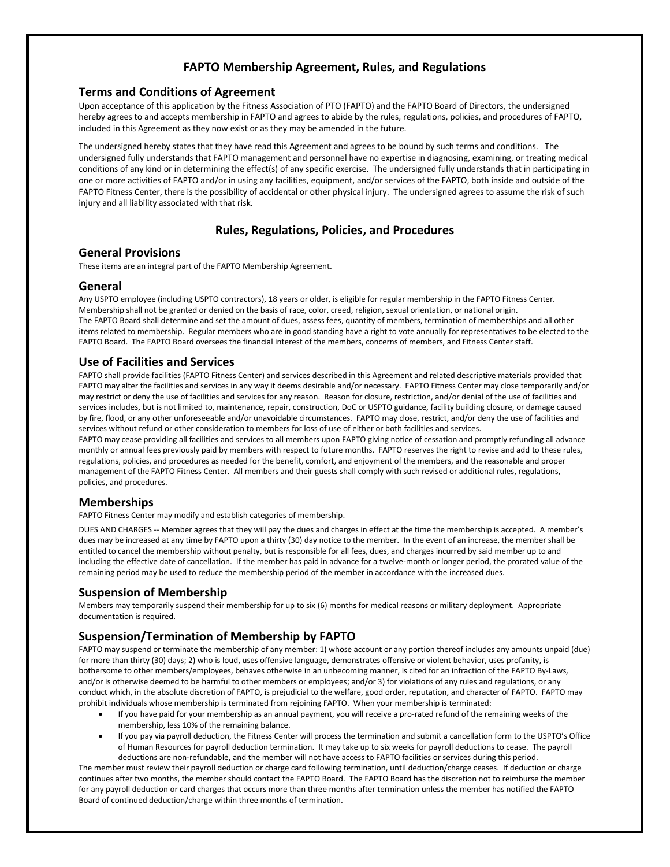# **FAPTO Membership Agreement, Rules, and Regulations**

### **Terms and Conditions of Agreement**

Upon acceptance of this application by the Fitness Association of PTO (FAPTO) and the FAPTO Board of Directors, the undersigned hereby agrees to and accepts membership in FAPTO and agrees to abide by the rules, regulations, policies, and procedures of FAPTO, included in this Agreement as they now exist or as they may be amended in the future.

The undersigned hereby states that they have read this Agreement and agrees to be bound by such terms and conditions. The undersigned fully understands that FAPTO management and personnel have no expertise in diagnosing, examining, or treating medical conditions of any kind or in determining the effect(s) of any specific exercise. The undersigned fully understands that in participating in one or more activities of FAPTO and/or in using any facilities, equipment, and/or services of the FAPTO, both inside and outside of the FAPTO Fitness Center, there is the possibility of accidental or other physical injury. The undersigned agrees to assume the risk of such injury and all liability associated with that risk.

# **Rules, Regulations, Policies, and Procedures**

### **General Provisions**

These items are an integral part of the FAPTO Membership Agreement.

#### **General**

Any USPTO employee (including USPTO contractors), 18 years or older, is eligible for regular membership in the FAPTO Fitness Center. Membership shall not be granted or denied on the basis of race, color, creed, religion, sexual orientation, or national origin. The FAPTO Board shall determine and set the amount of dues, assess fees, quantity of members, termination of memberships and all other items related to membership. Regular members who are in good standing have a right to vote annually for representatives to be elected to the FAPTO Board. The FAPTO Board oversees the financial interest of the members, concerns of members, and Fitness Center staff.

## **Use of Facilities and Services**

FAPTO shall provide facilities (FAPTO Fitness Center) and services described in this Agreement and related descriptive materials provided that FAPTO may alter the facilities and services in any way it deems desirable and/or necessary. FAPTO Fitness Center may close temporarily and/or may restrict or deny the use of facilities and services for any reason. Reason for closure, restriction, and/or denial of the use of facilities and services includes, but is not limited to, maintenance, repair, construction, DoC or USPTO guidance, facility building closure, or damage caused by fire, flood, or any other unforeseeable and/or unavoidable circumstances. FAPTO may close, restrict, and/or deny the use of facilities and services without refund or other consideration to members for loss of use of either or both facilities and services.

FAPTO may cease providing all facilities and services to all members upon FAPTO giving notice of cessation and promptly refunding all advance monthly or annual fees previously paid by members with respect to future months. FAPTO reserves the right to revise and add to these rules, regulations, policies, and procedures as needed for the benefit, comfort, and enjoyment of the members, and the reasonable and proper management of the FAPTO Fitness Center. All members and their guests shall comply with such revised or additional rules, regulations, policies, and procedures.

### **Memberships**

FAPTO Fitness Center may modify and establish categories of membership.

DUES AND CHARGES -- Member agrees that they will pay the dues and charges in effect at the time the membership is accepted. A member's dues may be increased at any time by FAPTO upon a thirty (30) day notice to the member. In the event of an increase, the member shall be entitled to cancel the membership without penalty, but is responsible for all fees, dues, and charges incurred by said member up to and including the effective date of cancellation. If the member has paid in advance for a twelve-month or longer period, the prorated value of the remaining period may be used to reduce the membership period of the member in accordance with the increased dues.

### **Suspension of Membership**

Members may temporarily suspend their membership for up to six (6) months for medical reasons or military deployment. Appropriate documentation is required.

## **Suspension/Termination of Membership by FAPTO**

FAPTO may suspend or terminate the membership of any member: 1) whose account or any portion thereof includes any amounts unpaid (due) for more than thirty (30) days; 2) who is loud, uses offensive language, demonstrates offensive or violent behavior, uses profanity, is bothersome to other members/employees, behaves otherwise in an unbecoming manner, is cited for an infraction of the FAPTO By-Laws, and/or is otherwise deemed to be harmful to other members or employees; and/or 3) for violations of any rules and regulations, or any conduct which, in the absolute discretion of FAPTO, is prejudicial to the welfare, good order, reputation, and character of FAPTO. FAPTO may prohibit individuals whose membership is terminated from rejoining FAPTO. When your membership is terminated:

- If you have paid for your membership as an annual payment, you will receive a pro-rated refund of the remaining weeks of the membership, less 10% of the remaining balance.
- If you pay via payroll deduction, the Fitness Center will process the termination and submit a cancellation form to the USPTO's Office of Human Resources for payroll deduction termination. It may take up to six weeks for payroll deductions to cease. The payroll deductions are non-refundable, and the member will not have access to FAPTO facilities or services during this period.

The member must review their payroll deduction or charge card following termination, until deduction/charge ceases. If deduction or charge continues after two months, the member should contact the FAPTO Board. The FAPTO Board has the discretion not to reimburse the member for any payroll deduction or card charges that occurs more than three months after termination unless the member has notified the FAPTO Board of continued deduction/charge within three months of termination.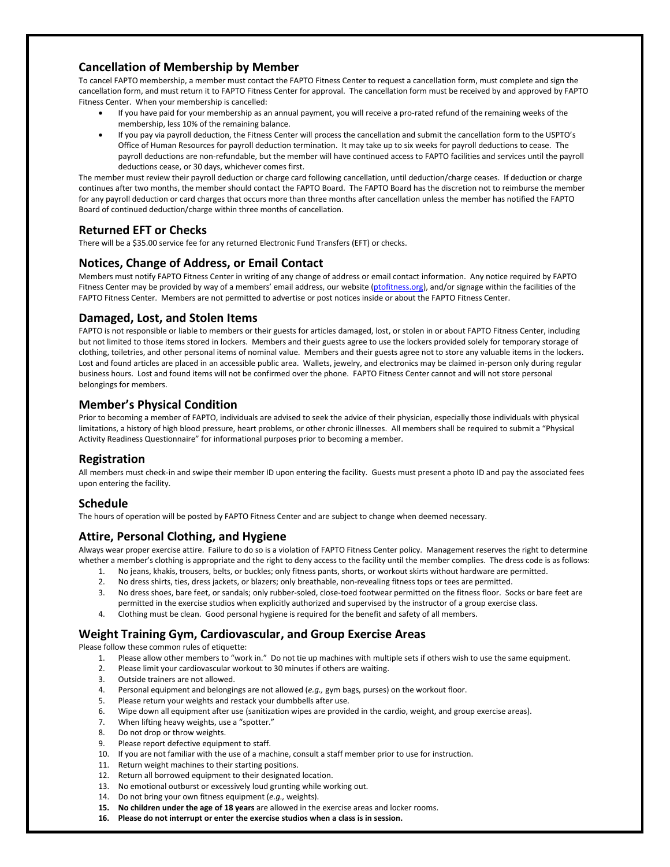## **Cancellation of Membership by Member**

To cancel FAPTO membership, a member must contact the FAPTO Fitness Center to request a cancellation form, must complete and sign the cancellation form, and must return it to FAPTO Fitness Center for approval. The cancellation form must be received by and approved by FAPTO Fitness Center. When your membership is cancelled:

- If you have paid for your membership as an annual payment, you will receive a pro-rated refund of the remaining weeks of the membership, less 10% of the remaining balance.
- If you pay via payroll deduction, the Fitness Center will process the cancellation and submit the cancellation form to the USPTO's Office of Human Resources for payroll deduction termination. It may take up to six weeks for payroll deductions to cease. The payroll deductions are non-refundable, but the member will have continued access to FAPTO facilities and services until the payroll deductions cease, or 30 days, whichever comes first.

The member must review their payroll deduction or charge card following cancellation, until deduction/charge ceases. If deduction or charge continues after two months, the member should contact the FAPTO Board. The FAPTO Board has the discretion not to reimburse the member for any payroll deduction or card charges that occurs more than three months after cancellation unless the member has notified the FAPTO Board of continued deduction/charge within three months of cancellation.

# **Returned EFT or Checks**

There will be a \$35.00 service fee for any returned Electronic Fund Transfers (EFT) or checks.

## **Notices, Change of Address, or Email Contact**

Members must notify FAPTO Fitness Center in writing of any change of address or email contact information. Any notice required by FAPTO Fitness Center may be provided by way of a members' email address, our website [\(ptofitness.org\)](http://www.ptofitness.org/), and/or signage within the facilities of the FAPTO Fitness Center. Members are not permitted to advertise or post notices inside or about the FAPTO Fitness Center.

## **Damaged, Lost, and Stolen Items**

FAPTO is not responsible or liable to members or their guests for articles damaged, lost, or stolen in or about FAPTO Fitness Center, including but not limited to those items stored in lockers. Members and their guests agree to use the lockers provided solely for temporary storage of clothing, toiletries, and other personal items of nominal value. Members and their guests agree not to store any valuable items in the lockers. Lost and found articles are placed in an accessible public area. Wallets, jewelry, and electronics may be claimed in-person only during regular business hours. Lost and found items will not be confirmed over the phone. FAPTO Fitness Center cannot and will not store personal belongings for members.

## **Member's Physical Condition**

Prior to becoming a member of FAPTO, individuals are advised to seek the advice of their physician, especially those individuals with physical limitations, a history of high blood pressure, heart problems, or other chronic illnesses. All members shall be required to submit a "Physical Activity Readiness Questionnaire" for informational purposes prior to becoming a member.

# **Registration**

All members must check-in and swipe their member ID upon entering the facility. Guests must present a photo ID and pay the associated fees upon entering the facility.

### **Schedule**

The hours of operation will be posted by FAPTO Fitness Center and are subject to change when deemed necessary.

### **Attire, Personal Clothing, and Hygiene**

Always wear proper exercise attire. Failure to do so is a violation of FAPTO Fitness Center policy. Management reserves the right to determine whether a member's clothing is appropriate and the right to deny access to the facility until the member complies. The dress code is as follows:

- 1. No jeans, khakis, trousers, belts, or buckles; only fitness pants, shorts, or workout skirts without hardware are permitted.
- 2. No dress shirts, ties, dress jackets, or blazers; only breathable, non-revealing fitness tops or tees are permitted.
- 3. No dress shoes, bare feet, or sandals; only rubber-soled, close-toed footwear permitted on the fitness floor. Socks or bare feet are permitted in the exercise studios when explicitly authorized and supervised by the instructor of a group exercise class.
- 4. Clothing must be clean. Good personal hygiene is required for the benefit and safety of all members.

## **Weight Training Gym, Cardiovascular, and Group Exercise Areas**

Please follow these common rules of etiquette:

- 1. Please allow other members to "work in." Do not tie up machines with multiple sets if others wish to use the same equipment.
- 2. Please limit your cardiovascular workout to 30 minutes if others are waiting.
- 3. Outside trainers are not allowed.
- 4. Personal equipment and belongings are not allowed (*e.g.,* gym bags, purses) on the workout floor.
- 5. Please return your weights and restack your dumbbells after use.
- 6. Wipe down all equipment after use (sanitization wipes are provided in the cardio, weight, and group exercise areas).
- 7. When lifting heavy weights, use a "spotter."
- 8. Do not drop or throw weights.
- 9. Please report defective equipment to staff.
- 10. If you are not familiar with the use of a machine, consult a staff member prior to use for instruction.
- 11. Return weight machines to their starting positions.
- 12. Return all borrowed equipment to their designated location.
- 13. No emotional outburst or excessively loud grunting while working out.
- 14. Do not bring your own fitness equipment (*e.g.,* weights).
- **15. No children under the age of 18 years** are allowed in the exercise areas and locker rooms.
- **16. Please do not interrupt or enter the exercise studios when a class is in session.**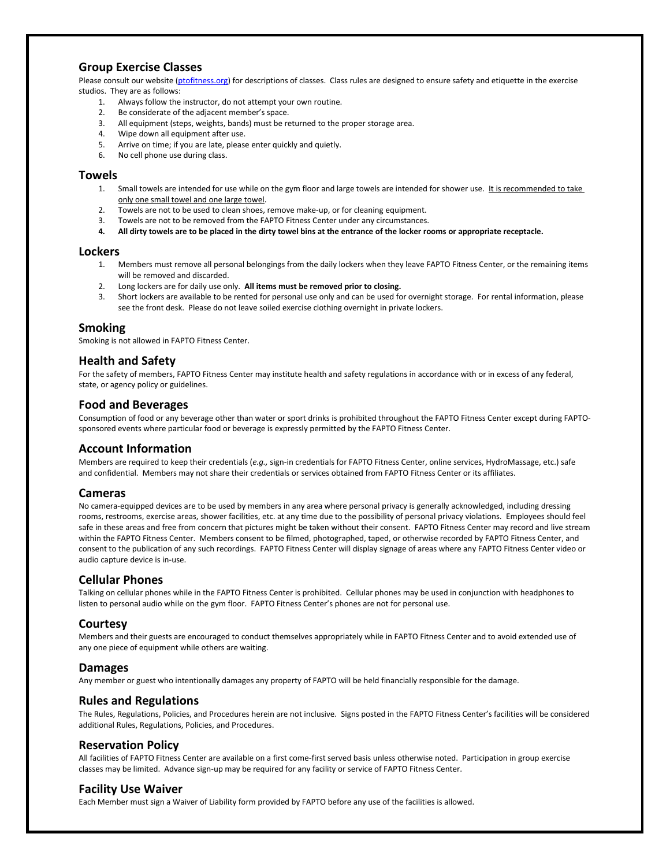## **Group Exercise Classes**

Please consult our website [\(ptofitness.org\)](http://www.ptofitness.org/) for descriptions of classes. Class rules are designed to ensure safety and etiquette in the exercise studios. They are as follows:

- 1. Always follow the instructor, do not attempt your own routine.
- 2. Be considerate of the adjacent member's space.
- 3. All equipment (steps, weights, bands) must be returned to the proper storage area.
- 4. Wipe down all equipment after use.
- 5. Arrive on time; if you are late, please enter quickly and quietly.
- 6. No cell phone use during class.

#### **Towels**

- 1. Small towels are intended for use while on the gym floor and large towels are intended for shower use. It is recommended to take only one small towel and one large towel.
- 2. Towels are not to be used to clean shoes, remove make-up, or for cleaning equipment.
- 3. Towels are not to be removed from the FAPTO Fitness Center under any circumstances.
- 4. All dirty towels are to be placed in the dirty towel bins at the entrance of the locker rooms or appropriate receptacle.

#### **Lockers**

- 1. Members must remove all personal belongings from the daily lockers when they leave FAPTO Fitness Center, or the remaining items will be removed and discarded.
- 2. Long lockers are for daily use only. **All items must be removed prior to closing.**
- 3. Short lockers are available to be rented for personal use only and can be used for overnight storage. For rental information, please see the front desk. Please do not leave soiled exercise clothing overnight in private lockers.

### **Smoking**

Smoking is not allowed in FAPTO Fitness Center.

#### **Health and Safety**

For the safety of members, FAPTO Fitness Center may institute health and safety regulations in accordance with or in excess of any federal, state, or agency policy or guidelines.

### **Food and Beverages**

Consumption of food or any beverage other than water or sport drinks is prohibited throughout the FAPTO Fitness Center except during FAPTOsponsored events where particular food or beverage is expressly permitted by the FAPTO Fitness Center.

### **Account Information**

Members are required to keep their credentials (*e.g.,* sign-in credentials for FAPTO Fitness Center, online services, HydroMassage, etc.) safe and confidential. Members may not share their credentials or services obtained from FAPTO Fitness Center or its affiliates.

### **Cameras**

No camera-equipped devices are to be used by members in any area where personal privacy is generally acknowledged, including dressing rooms, restrooms, exercise areas, shower facilities, etc. at any time due to the possibility of personal privacy violations. Employees should feel safe in these areas and free from concern that pictures might be taken without their consent. FAPTO Fitness Center may record and live stream within the FAPTO Fitness Center. Members consent to be filmed, photographed, taped, or otherwise recorded by FAPTO Fitness Center, and consent to the publication of any such recordings. FAPTO Fitness Center will display signage of areas where any FAPTO Fitness Center video or audio capture device is in-use.

### **Cellular Phones**

Talking on cellular phones while in the FAPTO Fitness Center is prohibited. Cellular phones may be used in conjunction with headphones to listen to personal audio while on the gym floor. FAPTO Fitness Center's phones are not for personal use.

## **Courtesy**

Members and their guests are encouraged to conduct themselves appropriately while in FAPTO Fitness Center and to avoid extended use of any one piece of equipment while others are waiting.

### **Damages**

Any member or guest who intentionally damages any property of FAPTO will be held financially responsible for the damage.

### **Rules and Regulations**

The Rules, Regulations, Policies, and Procedures herein are not inclusive. Signs posted in the FAPTO Fitness Center's facilities will be considered additional Rules, Regulations, Policies, and Procedures.

### **Reservation Policy**

All facilities of FAPTO Fitness Center are available on a first come-first served basis unless otherwise noted. Participation in group exercise classes may be limited. Advance sign-up may be required for any facility or service of FAPTO Fitness Center.

## **Facility Use Waiver**

Each Member must sign a Waiver of Liability form provided by FAPTO before any use of the facilities is allowed.